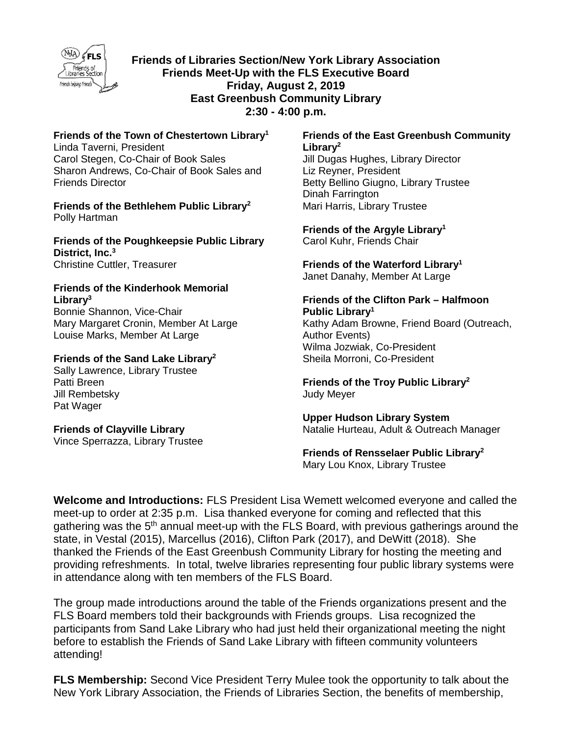

**Friends of Libraries Section/New York Library Association Friends Meet-Up with the FLS Executive Board Friday, August 2, 2019 East Greenbush Community Library 2:30 - 4:00 p.m.** 

**Friends of the Town of Chestertown Library<sup>1</sup>** Linda Taverni, President

Carol Stegen, Co-Chair of Book Sales Sharon Andrews, Co-Chair of Book Sales and Friends Director

**Friends of the Bethlehem Public Library<sup>2</sup>** Polly Hartman

**Friends of the Poughkeepsie Public Library District, Inc.<sup>3</sup>** Christine Cuttler, Treasurer

#### **Friends of the Kinderhook Memorial Library<sup>3</sup>**

Bonnie Shannon, Vice-Chair Mary Margaret Cronin, Member At Large Louise Marks, Member At Large

#### **Friends of the Sand Lake Library<sup>2</sup>**

Sally Lawrence, Library Trustee Patti Breen Jill Rembetsky Pat Wager

**Friends of Clayville Library**  Vince Sperrazza, Library Trustee

#### **Friends of the East Greenbush Community Library<sup>2</sup>**

Jill Dugas Hughes, Library Director Liz Reyner, President Betty Bellino Giugno, Library Trustee Dinah Farrington Mari Harris, Library Trustee

**Friends of the Argyle Library<sup>1</sup>** Carol Kuhr, Friends Chair

**Friends of the Waterford Library<sup>1</sup>** Janet Danahy, Member At Large

#### **Friends of the Clifton Park – Halfmoon Public Library<sup>1</sup>**

Kathy Adam Browne, Friend Board (Outreach, Author Events) Wilma Jozwiak, Co-President Sheila Morroni, Co-President

**Friends of the Troy Public Library<sup>2</sup>** Judy Meyer

**Upper Hudson Library System**  Natalie Hurteau, Adult & Outreach Manager

# **Friends of Rensselaer Public Library<sup>2</sup>**

Mary Lou Knox, Library Trustee

**Welcome and Introductions:** FLS President Lisa Wemett welcomed everyone and called the meet-up to order at 2:35 p.m. Lisa thanked everyone for coming and reflected that this gathering was the 5<sup>th</sup> annual meet-up with the FLS Board, with previous gatherings around the state, in Vestal (2015), Marcellus (2016), Clifton Park (2017), and DeWitt (2018). She thanked the Friends of the East Greenbush Community Library for hosting the meeting and providing refreshments. In total, twelve libraries representing four public library systems were in attendance along with ten members of the FLS Board.

The group made introductions around the table of the Friends organizations present and the FLS Board members told their backgrounds with Friends groups. Lisa recognized the participants from Sand Lake Library who had just held their organizational meeting the night before to establish the Friends of Sand Lake Library with fifteen community volunteers attending!

**FLS Membership:** Second Vice President Terry Mulee took the opportunity to talk about the New York Library Association, the Friends of Libraries Section, the benefits of membership,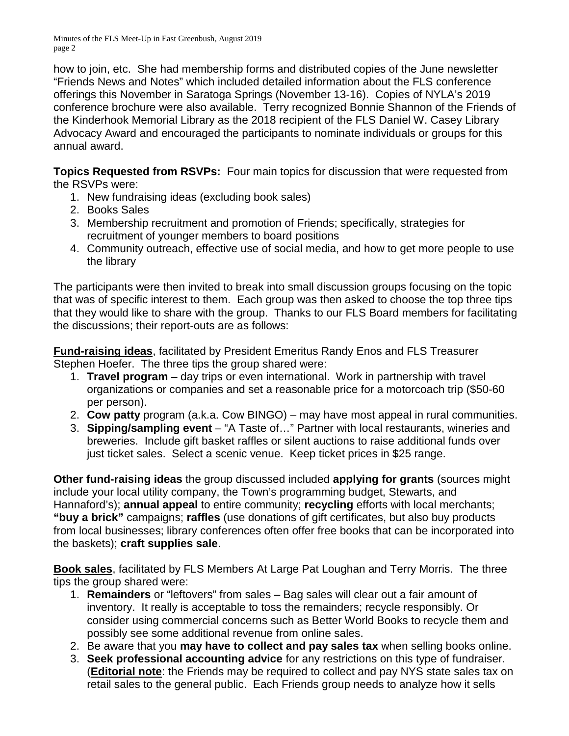how to join, etc. She had membership forms and distributed copies of the June newsletter "Friends News and Notes" which included detailed information about the FLS conference offerings this November in Saratoga Springs (November 13-16). Copies of NYLA's 2019 conference brochure were also available. Terry recognized Bonnie Shannon of the Friends of the Kinderhook Memorial Library as the 2018 recipient of the FLS Daniel W. Casey Library Advocacy Award and encouraged the participants to nominate individuals or groups for this annual award.

**Topics Requested from RSVPs:** Four main topics for discussion that were requested from the RSVPs were:

- 1. New fundraising ideas (excluding book sales)
- 2. Books Sales
- 3. Membership recruitment and promotion of Friends; specifically, strategies for recruitment of younger members to board positions
- 4. Community outreach, effective use of social media, and how to get more people to use the library

The participants were then invited to break into small discussion groups focusing on the topic that was of specific interest to them. Each group was then asked to choose the top three tips that they would like to share with the group. Thanks to our FLS Board members for facilitating the discussions; their report-outs are as follows:

**Fund-raising ideas**, facilitated by President Emeritus Randy Enos and FLS Treasurer Stephen Hoefer. The three tips the group shared were:

- 1. **Travel program** day trips or even international. Work in partnership with travel organizations or companies and set a reasonable price for a motorcoach trip (\$50-60 per person).
- 2. **Cow patty** program (a.k.a. Cow BINGO) may have most appeal in rural communities.
- 3. **Sipping/sampling event** "A Taste of…" Partner with local restaurants, wineries and breweries. Include gift basket raffles or silent auctions to raise additional funds over just ticket sales. Select a scenic venue. Keep ticket prices in \$25 range.

**Other fund-raising ideas** the group discussed included **applying for grants** (sources might include your local utility company, the Town's programming budget, Stewarts, and Hannaford's); **annual appeal** to entire community; **recycling** efforts with local merchants; **"buy a brick"** campaigns; **raffles** (use donations of gift certificates, but also buy products from local businesses; library conferences often offer free books that can be incorporated into the baskets); **craft supplies sale**.

**Book sales**, facilitated by FLS Members At Large Pat Loughan and Terry Morris. The three tips the group shared were:

- 1. **Remainders** or "leftovers" from sales Bag sales will clear out a fair amount of inventory. It really is acceptable to toss the remainders; recycle responsibly. Or consider using commercial concerns such as Better World Books to recycle them and possibly see some additional revenue from online sales.
- 2. Be aware that you **may have to collect and pay sales tax** when selling books online.
- 3. **Seek professional accounting advice** for any restrictions on this type of fundraiser. (**Editorial note**: the Friends may be required to collect and pay NYS state sales tax on retail sales to the general public. Each Friends group needs to analyze how it sells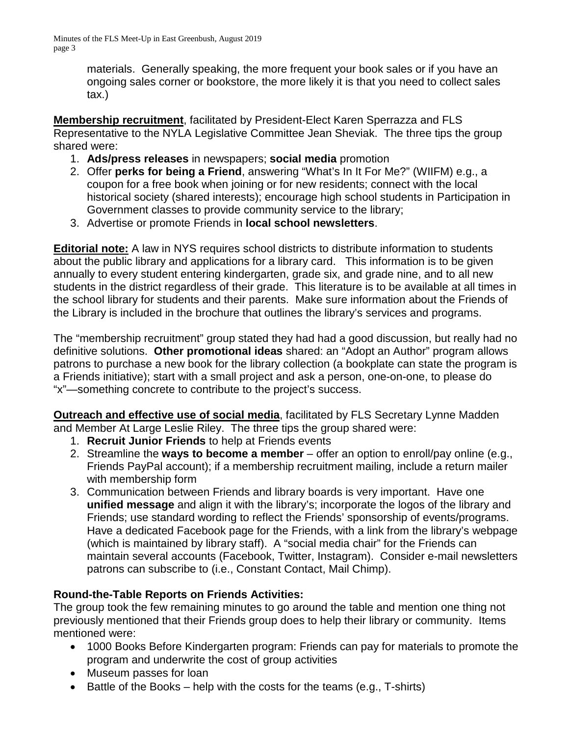> materials. Generally speaking, the more frequent your book sales or if you have an ongoing sales corner or bookstore, the more likely it is that you need to collect sales tax.)

**Membership recruitment**, facilitated by President-Elect Karen Sperrazza and FLS Representative to the NYLA Legislative Committee Jean Sheviak. The three tips the group shared were:

- 1. **Ads/press releases** in newspapers; **social media** promotion
- 2. Offer **perks for being a Friend**, answering "What's In It For Me?" (WIIFM) e.g., a coupon for a free book when joining or for new residents; connect with the local historical society (shared interests); encourage high school students in Participation in Government classes to provide community service to the library;
- 3. Advertise or promote Friends in **local school newsletters**.

**Editorial note:** A law in NYS requires school districts to distribute information to students about the public library and applications for a library card. This information is to be given annually to every student entering kindergarten, grade six, and grade nine, and to all new students in the district regardless of their grade. This literature is to be available at all times in the school library for students and their parents. Make sure information about the Friends of the Library is included in the brochure that outlines the library's services and programs.

The "membership recruitment" group stated they had had a good discussion, but really had no definitive solutions. **Other promotional ideas** shared: an "Adopt an Author" program allows patrons to purchase a new book for the library collection (a bookplate can state the program is a Friends initiative); start with a small project and ask a person, one-on-one, to please do "x"—something concrete to contribute to the project's success.

**Outreach and effective use of social media**, facilitated by FLS Secretary Lynne Madden and Member At Large Leslie Riley. The three tips the group shared were:

- 1. **Recruit Junior Friends** to help at Friends events
- 2. Streamline the **ways to become a member** offer an option to enroll/pay online (e.g., Friends PayPal account); if a membership recruitment mailing, include a return mailer with membership form
- 3. Communication between Friends and library boards is very important. Have one **unified message** and align it with the library's; incorporate the logos of the library and Friends; use standard wording to reflect the Friends' sponsorship of events/programs. Have a dedicated Facebook page for the Friends, with a link from the library's webpage (which is maintained by library staff). A "social media chair" for the Friends can maintain several accounts (Facebook, Twitter, Instagram). Consider e-mail newsletters patrons can subscribe to (i.e., Constant Contact, Mail Chimp).

## **Round-the-Table Reports on Friends Activities:**

The group took the few remaining minutes to go around the table and mention one thing not previously mentioned that their Friends group does to help their library or community. Items mentioned were:

- 1000 Books Before Kindergarten program: Friends can pay for materials to promote the program and underwrite the cost of group activities
- Museum passes for loan
- $\bullet$  Battle of the Books help with the costs for the teams (e.g., T-shirts)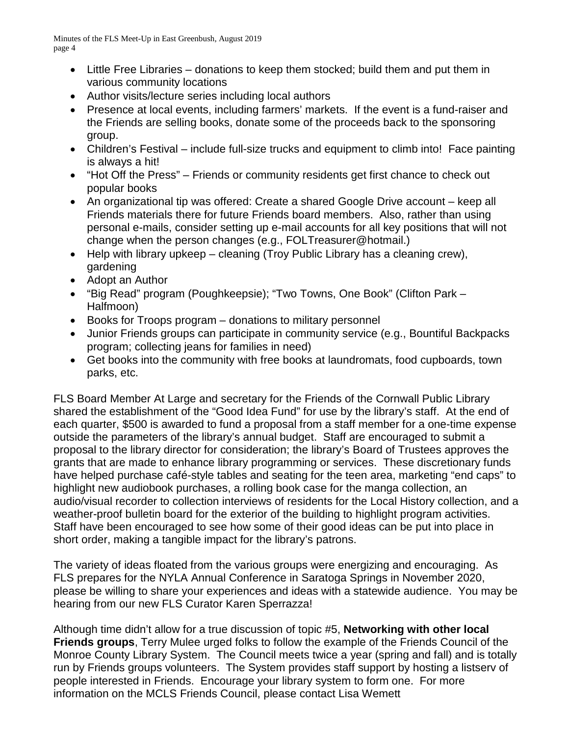- Little Free Libraries donations to keep them stocked; build them and put them in various community locations
- Author visits/lecture series including local authors
- Presence at local events, including farmers' markets. If the event is a fund-raiser and the Friends are selling books, donate some of the proceeds back to the sponsoring group.
- Children's Festival include full-size trucks and equipment to climb into! Face painting is always a hit!
- "Hot Off the Press" Friends or community residents get first chance to check out popular books
- An organizational tip was offered: Create a shared Google Drive account keep all Friends materials there for future Friends board members. Also, rather than using personal e-mails, consider setting up e-mail accounts for all key positions that will not change when the person changes (e.g., FOLTreasurer@hotmail.)
- Help with library upkeep cleaning (Troy Public Library has a cleaning crew), gardening
- Adopt an Author
- "Big Read" program (Poughkeepsie); "Two Towns, One Book" (Clifton Park Halfmoon)
- Books for Troops program donations to military personnel
- Junior Friends groups can participate in community service (e.g., Bountiful Backpacks program; collecting jeans for families in need)
- Get books into the community with free books at laundromats, food cupboards, town parks, etc.

FLS Board Member At Large and secretary for the Friends of the Cornwall Public Library shared the establishment of the "Good Idea Fund" for use by the library's staff. At the end of each quarter, \$500 is awarded to fund a proposal from a staff member for a one-time expense outside the parameters of the library's annual budget. Staff are encouraged to submit a proposal to the library director for consideration; the library's Board of Trustees approves the grants that are made to enhance library programming or services. These discretionary funds have helped purchase café-style tables and seating for the teen area, marketing "end caps" to highlight new audiobook purchases, a rolling book case for the manga collection, an audio/visual recorder to collection interviews of residents for the Local History collection, and a weather-proof bulletin board for the exterior of the building to highlight program activities. Staff have been encouraged to see how some of their good ideas can be put into place in short order, making a tangible impact for the library's patrons.

The variety of ideas floated from the various groups were energizing and encouraging. As FLS prepares for the NYLA Annual Conference in Saratoga Springs in November 2020, please be willing to share your experiences and ideas with a statewide audience. You may be hearing from our new FLS Curator Karen Sperrazza!

Although time didn't allow for a true discussion of topic #5, **Networking with other local Friends groups**, Terry Mulee urged folks to follow the example of the Friends Council of the Monroe County Library System. The Council meets twice a year (spring and fall) and is totally run by Friends groups volunteers. The System provides staff support by hosting a listserv of people interested in Friends. Encourage your library system to form one. For more information on the MCLS Friends Council, please contact Lisa Wemett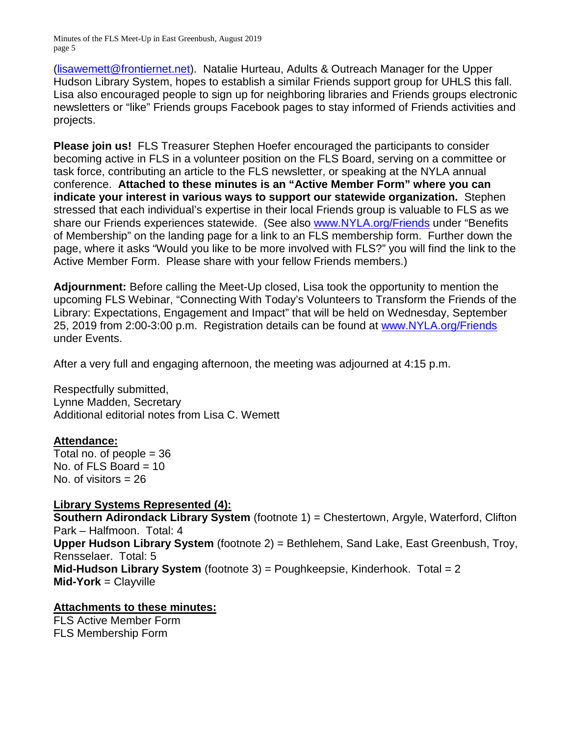(lisawemett@frontiernet.net). Natalie Hurteau, Adults & Outreach Manager for the Upper Hudson Library System, hopes to establish a similar Friends support group for UHLS this fall. Lisa also encouraged people to sign up for neighboring libraries and Friends groups electronic newsletters or "like" Friends groups Facebook pages to stay informed of Friends activities and projects.

**Please join us!** FLS Treasurer Stephen Hoefer encouraged the participants to consider becoming active in FLS in a volunteer position on the FLS Board, serving on a committee or task force, contributing an article to the FLS newsletter, or speaking at the NYLA annual conference. **Attached to these minutes is an "Active Member Form" where you can indicate your interest in various ways to support our statewide organization.** Stephen stressed that each individual's expertise in their local Friends group is valuable to FLS as we share our Friends experiences statewide. (See also www.NYLA.org/Friends under "Benefits of Membership" on the landing page for a link to an FLS membership form. Further down the page, where it asks "Would you like to be more involved with FLS?" you will find the link to the Active Member Form. Please share with your fellow Friends members.)

**Adjournment:** Before calling the Meet-Up closed, Lisa took the opportunity to mention the upcoming FLS Webinar, "Connecting With Today's Volunteers to Transform the Friends of the Library: Expectations, Engagement and Impact" that will be held on Wednesday, September 25, 2019 from 2:00-3:00 p.m. Registration details can be found at www.NYLA.org/Friends under Events.

After a very full and engaging afternoon, the meeting was adjourned at 4:15 p.m.

Respectfully submitted, Lynne Madden, Secretary Additional editorial notes from Lisa C. Wemett

## **Attendance:**

Total no. of people  $= 36$ No. of FLS Board  $= 10$ No. of visitors  $= 26$ 

## **Library Systems Represented (4):**

**Southern Adirondack Library System** (footnote 1) = Chestertown, Argyle, Waterford, Clifton Park – Halfmoon. Total: 4 **Upper Hudson Library System** (footnote 2) = Bethlehem, Sand Lake, East Greenbush, Troy, Rensselaer. Total: 5 **Mid-Hudson Library System** (footnote 3) = Poughkeepsie, Kinderhook. Total = 2 **Mid-York** = Clayville

## **Attachments to these minutes:**

FLS Active Member Form FLS Membership Form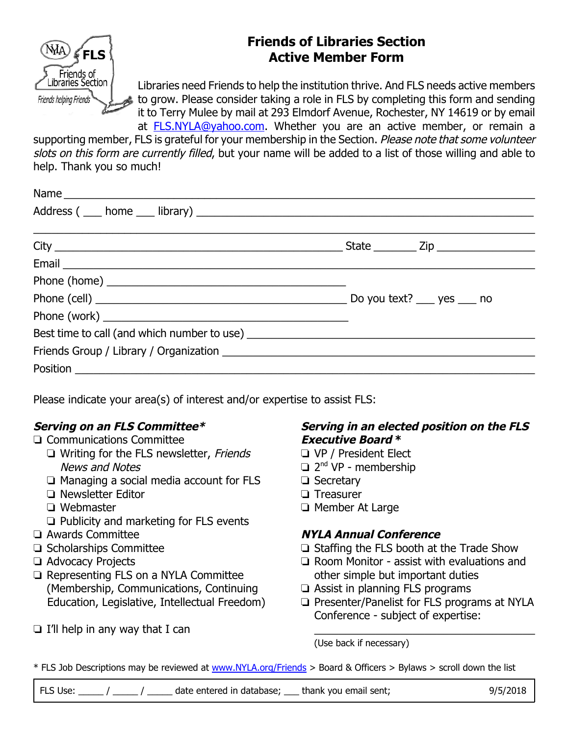

# **Friends of Libraries Section Active Member Form**

Libraries need Friends to help the institution thrive. And FLS needs active members to grow. Please consider taking a role in FLS by completing this form and sending it to Terry Mulee by mail at 293 Elmdorf Avenue, Rochester, NY 14619 or by email at FLS.NYLA@yahoo.com. Whether you are an active member, or remain a

supporting member, FLS is grateful for your membership in the Section. Please note that some volunteer slots on this form are currently filled, but your name will be added to a list of those willing and able to help. Thank you so much!

Please indicate your area(s) of interest and/or expertise to assist FLS:

# **Serving on an FLS Committee\***

## $\Box$  Communications Committee

- $\Box$  Writing for the FLS newsletter, Friends News and Notes
- $\Box$  Managing a social media account for FLS
- <sup>1</sup> Newsletter Editor
- $\Box$  Webmaster
- $\Box$  Publicity and marketing for FLS events
- $\Box$  Awards Committee
- $\Box$  Scholarships Committee
- **T** Advocacy Projects
- $\Box$  Representing FLS on a NYLA Committee (Membership, Communications, Continuing Education, Legislative, Intellectual Freedom)
- $\Box$  I'll help in any way that I can

## **Serving in an elected position on the FLS Executive Board \***

- **U** VP / President Elect
- $\Box$  2<sup>nd</sup> VP membership
- □ Secretary
- $\Box$  Treasurer
- $\Box$  Member At Large

# **NYLA Annual Conference**

- $\Box$  Staffing the FLS booth at the Trade Show
- $\Box$  Room Monitor assist with evaluations and other simple but important duties
- $\Box$  Assist in planning FLS programs
- $\Box$  Presenter/Panelist for FLS programs at NYLA Conference - subject of expertise:

 $\frac{1}{2}$  ,  $\frac{1}{2}$  ,  $\frac{1}{2}$  ,  $\frac{1}{2}$  ,  $\frac{1}{2}$  ,  $\frac{1}{2}$  ,  $\frac{1}{2}$  ,  $\frac{1}{2}$  ,  $\frac{1}{2}$  ,  $\frac{1}{2}$  ,  $\frac{1}{2}$  ,  $\frac{1}{2}$  ,  $\frac{1}{2}$  ,  $\frac{1}{2}$  ,  $\frac{1}{2}$  ,  $\frac{1}{2}$  ,  $\frac{1}{2}$  ,  $\frac{1}{2}$  ,  $\frac{1$ 

(Use back if necessary)

\* FLS Job Descriptions may be reviewed at www.NYLA.org/Friends > Board & Officers > Bylaws > scroll down the list

FLS Use:  $\frac{1}{1}$  / date entered in database; thank you email sent; 9/5/2018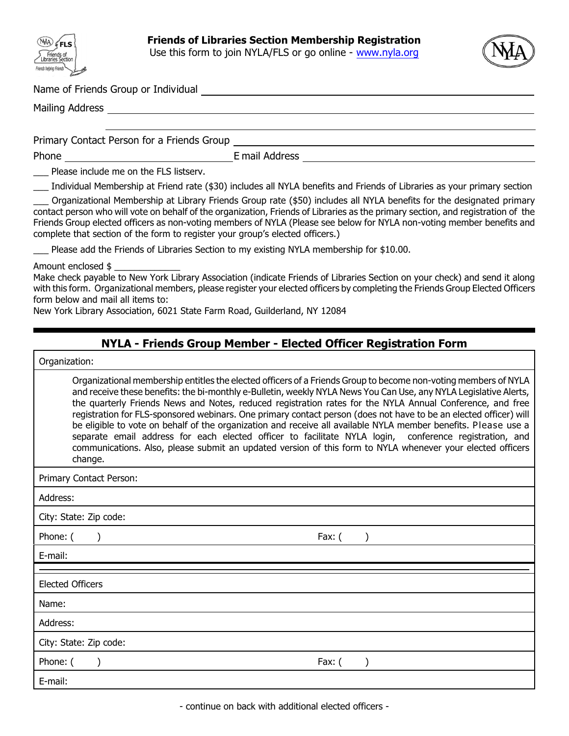



Name of Friends Group or Individual

Mailing Address and the control of the control of the control of the control of the control of the control of the control of the control of the control of the control of the control of the control of the control of the con

Primary Contact Person for a Friends Group

Phone Email Address Email Address

Please include me on the FLS listserv.

\_\_\_ Individual Membership at Friend rate (\$30) includes all NYLA benefits and Friends of Libraries as your primary section

\_\_\_ Organizational Membership at Library Friends Group rate (\$50) includes all NYLA benefits for the designated primary contact person who will vote on behalf of the organization, Friends of Libraries as the primary section, and registration of the Friends Group elected officers as non-voting members of NYLA (*Please see below for NYLA non-voting member benefits and complete that section of the form to register your group's elected officers.*)

Please add the Friends of Libraries Section to my existing NYLA membership for \$10.00.

Amount enclosed \$ \_\_\_\_\_\_\_\_\_\_\_\_\_

Make check payable to New York Library Association (indicate Friends of Libraries Section on your check) and send it along with this form. Organizational members, please register your elected officers by completing the Friends Group Elected Officers form below and mail all items to:

New York Library Association, 6021 State Farm Road, Guilderland, NY 12084

## **NYLA - Friends Group Member - Elected Officer Registration Form**

Organization:

*Organizational membership entitles the elected officers of a Friends Group to become non-voting members of NYLA and receive these benefits: the bi-monthly e-Bulletin, weekly NYLA News You Can Use, any NYLA Legislative Alerts, the quarterly Friends News and Notes, reduced registration rates for the NYLA Annual Conference, and free registration for FLS-sponsored webinars. One primary contact person (does not have to be an elected officer) will be eligible to vote on behalf of the organization and receive all available NYLA member benefits. Please use a separate email address for each elected officer to facilitate NYLA login, conference registration, and communications. Also, please submit an updated version of this form to NYLA whenever your elected officers change.*

Primary Contact Person:

| Primary Contact Person: |        |
|-------------------------|--------|
| Address:                |        |
| City: State: Zip code:  |        |
| Phone: (                | Fax: ( |
| E-mail:                 |        |
|                         |        |
| <b>Elected Officers</b> |        |
| Name:                   |        |
| Address:                |        |
| City: State: Zip code:  |        |
| Phone: (                | Fax: ( |
| E-mail:                 |        |
|                         |        |

- continue on back with additional elected officers -